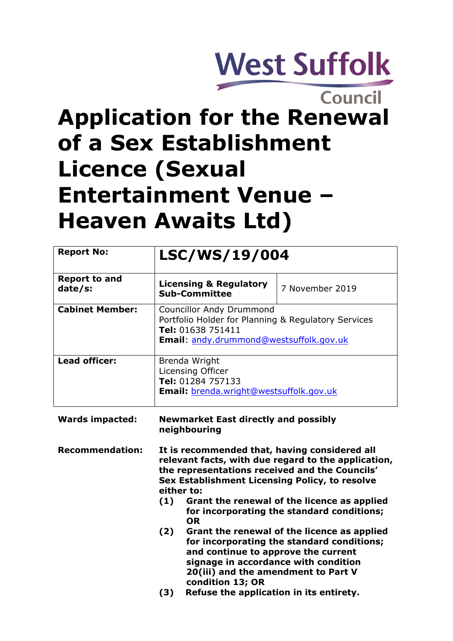# **West Suffolk**

## **Council Application for the Renewal of a Sex Establishment Licence (Sexual Entertainment Venue – Heaven Awaits Ltd)**

| <b>Report No:</b>               | LSC/WS/19/004                                                                                                                                                                                                                                                                                                                           |                                                                                           |
|---------------------------------|-----------------------------------------------------------------------------------------------------------------------------------------------------------------------------------------------------------------------------------------------------------------------------------------------------------------------------------------|-------------------------------------------------------------------------------------------|
| <b>Report to and</b><br>date/s: | <b>Licensing &amp; Regulatory</b><br><b>Sub-Committee</b>                                                                                                                                                                                                                                                                               | 7 November 2019                                                                           |
| <b>Cabinet Member:</b>          | <b>Councillor Andy Drummond</b><br>Portfolio Holder for Planning & Regulatory Services<br>Tel: 01638 751411<br>Email: andy.drummond@westsuffolk.gov.uk                                                                                                                                                                                  |                                                                                           |
| <b>Lead officer:</b>            | Brenda Wright<br>Licensing Officer<br>Tel: 01284 757133<br><b>Email:</b> brenda.wright@westsuffolk.gov.uk                                                                                                                                                                                                                               |                                                                                           |
| <b>Wards impacted:</b>          | <b>Newmarket East directly and possibly</b><br>neighbouring                                                                                                                                                                                                                                                                             |                                                                                           |
| <b>Recommendation:</b>          | It is recommended that, having considered all<br>relevant facts, with due regard to the application,<br>the representations received and the Councils'<br>Sex Establishment Licensing Policy, to resolve<br>either to:<br>Grant the renewal of the licence as applied<br>(1)<br>for incorporating the standard conditions;<br><b>OR</b> |                                                                                           |
|                                 | (2)<br>and continue to approve the current<br>signage in accordance with condition<br>20(iii) and the amendment to Part V<br>condition 13; OR                                                                                                                                                                                           | Grant the renewal of the licence as applied<br>for incorporating the standard conditions; |
|                                 | (3)<br>Refuse the application in its entirety.                                                                                                                                                                                                                                                                                          |                                                                                           |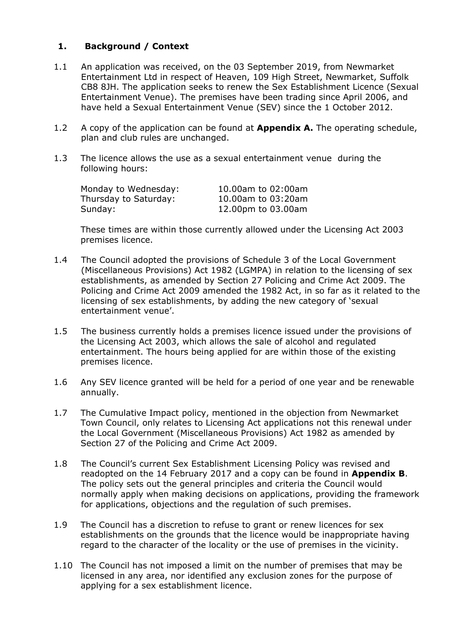#### **1. Background / Context**

- 1.1 An application was received, on the 03 September 2019, from Newmarket Entertainment Ltd in respect of Heaven, 109 High Street, Newmarket, Suffolk CB8 8JH. The application seeks to renew the Sex Establishment Licence (Sexual Entertainment Venue). The premises have been trading since April 2006, and have held a Sexual Entertainment Venue (SEV) since the 1 October 2012.
- 1.2 A copy of the application can be found at **Appendix A.** The operating schedule, plan and club rules are unchanged.
- 1.3 The licence allows the use as a sexual entertainment venue during the following hours:

| Monday to Wednesday:  | 10.00am to 02:00am |
|-----------------------|--------------------|
| Thursday to Saturday: | 10.00am to 03:20am |
| Sunday:               | 12.00pm to 03.00am |

These times are within those currently allowed under the Licensing Act 2003 premises licence.

- 1.4 The Council adopted the provisions of Schedule 3 of the Local Government (Miscellaneous Provisions) Act 1982 (LGMPA) in relation to the licensing of sex establishments, as amended by Section 27 Policing and Crime Act 2009. The Policing and Crime Act 2009 amended the 1982 Act, in so far as it related to the licensing of sex establishments, by adding the new category of 'sexual entertainment venue'.
- 1.5 The business currently holds a premises licence issued under the provisions of the Licensing Act 2003, which allows the sale of alcohol and regulated entertainment. The hours being applied for are within those of the existing premises licence.
- 1.6 Any SEV licence granted will be held for a period of one year and be renewable annually.
- 1.7 The Cumulative Impact policy, mentioned in the objection from Newmarket Town Council, only relates to Licensing Act applications not this renewal under the Local Government (Miscellaneous Provisions) Act 1982 as amended by Section 27 of the Policing and Crime Act 2009.
- 1.8 The Council's current Sex Establishment Licensing Policy was revised and readopted on the 14 February 2017 and a copy can be found in **Appendix B**. The policy sets out the general principles and criteria the Council would normally apply when making decisions on applications, providing the framework for applications, objections and the regulation of such premises.
- 1.9 The Council has a discretion to refuse to grant or renew licences for sex establishments on the grounds that the licence would be inappropriate having regard to the character of the locality or the use of premises in the vicinity.
- 1.10 The Council has not imposed a limit on the number of premises that may be licensed in any area, nor identified any exclusion zones for the purpose of applying for a sex establishment licence.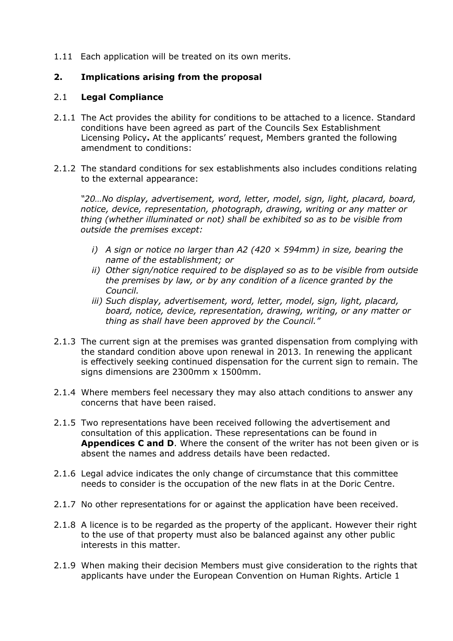1.11 Each application will be treated on its own merits.

### **2. Implications arising from the proposal**

#### 2.1 **Legal Compliance**

- 2.1.1 The Act provides the ability for conditions to be attached to a licence. Standard conditions have been agreed as part of the Councils Sex Establishment Licensing Policy**.** At the applicants' request, Members granted the following amendment to conditions:
- 2.1.2 The standard conditions for sex establishments also includes conditions relating to the external appearance:

*"20…No display, advertisement, word, letter, model, sign, light, placard, board, notice, device, representation, photograph, drawing, writing or any matter or thing (whether illuminated or not) shall be exhibited so as to be visible from outside the premises except:*

- *i) A sign or notice no larger than A2 (420 × 594mm) in size, bearing the name of the establishment; or*
- *ii) Other sign/notice required to be displayed so as to be visible from outside the premises by law, or by any condition of a licence granted by the Council.*
- *iii) Such display, advertisement, word, letter, model, sign, light, placard, board, notice, device, representation, drawing, writing, or any matter or thing as shall have been approved by the Council."*
- 2.1.3 The current sign at the premises was granted dispensation from complying with the standard condition above upon renewal in 2013. In renewing the applicant is effectively seeking continued dispensation for the current sign to remain. The signs dimensions are 2300mm x 1500mm.
- 2.1.4 Where members feel necessary they may also attach conditions to answer any concerns that have been raised.
- 2.1.5 Two representations have been received following the advertisement and consultation of this application. These representations can be found in **Appendices C and D**. Where the consent of the writer has not been given or is absent the names and address details have been redacted.
- 2.1.6 Legal advice indicates the only change of circumstance that this committee needs to consider is the occupation of the new flats in at the Doric Centre.
- 2.1.7 No other representations for or against the application have been received.
- 2.1.8 A licence is to be regarded as the property of the applicant. However their right to the use of that property must also be balanced against any other public interests in this matter.
- 2.1.9 When making their decision Members must give consideration to the rights that applicants have under the European Convention on Human Rights. Article 1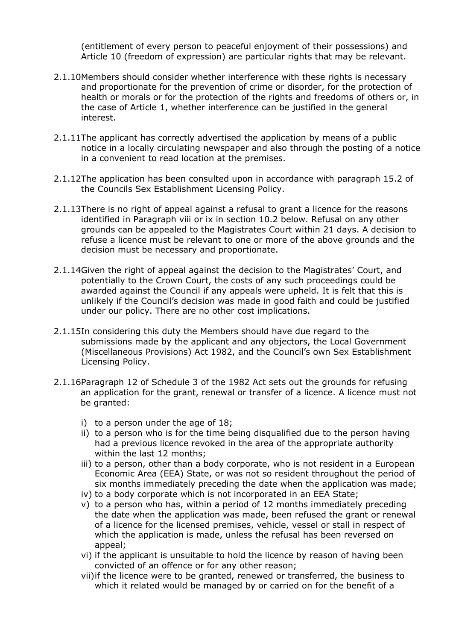(entitlement of every person to peaceful enjoyment of their possessions) and Article 10 (freedom of expression) are particular rights that may be relevant.

- 2.1.10Members should consider whether interference with these rights is necessary and proportionate for the prevention of crime or disorder, for the protection of health or morals or for the protection of the rights and freedoms of others or, in the case of Article 1, whether interference can be justified in the general interest.
- 2.1.11The applicant has correctly advertised the application by means of a public notice in a locally circulating newspaper and also through the posting of a notice in a convenient to read location at the premises.
- 2.1.12The application has been consulted upon in accordance with paragraph 15.2 of the Councils Sex Establishment Licensing Policy.
- 2.1.13There is no right of appeal against a refusal to grant a licence for the reasons identified in Paragraph viii or ix in section 10.2 below. Refusal on any other grounds can be appealed to the Magistrates Court within 21 days. A decision to refuse a licence must be relevant to one or more of the above grounds and the decision must be necessary and proportionate.
- 2.1.14Given the right of appeal against the decision to the Magistrates' Court, and potentially to the Crown Court, the costs of any such proceedings could be awarded against the Council if any appeals were upheld. It is felt that this is unlikely if the Council's decision was made in good faith and could be justified under our policy. There are no other cost implications.
- 2.1.15In considering this duty the Members should have due regard to the submissions made by the applicant and any objectors, the Local Government (Miscellaneous Provisions) Act 1982, and the Council's own Sex Establishment Licensing Policy.
- 2.1.16Paragraph 12 of Schedule 3 of the 1982 Act sets out the grounds for refusing an application for the grant, renewal or transfer of a licence. A licence must not be granted:
	- i) to a person under the age of 18;
	- ii) to a person who is for the time being disqualified due to the person having had a previous licence revoked in the area of the appropriate authority within the last 12 months;
	- iii) to a person, other than a body corporate, who is not resident in a European Economic Area (EEA) State, or was not so resident throughout the period of six months immediately preceding the date when the application was made;
	- iv) to a body corporate which is not incorporated in an EEA State;
	- v) to a person who has, within a period of 12 months immediately preceding the date when the application was made, been refused the grant or renewal of a licence for the licensed premises, vehicle, vessel or stall in respect of which the application is made, unless the refusal has been reversed on appeal;
	- vi) if the applicant is unsuitable to hold the licence by reason of having been convicted of an offence or for any other reason;
	- vii)if the licence were to be granted, renewed or transferred, the business to which it related would be managed by or carried on for the benefit of a